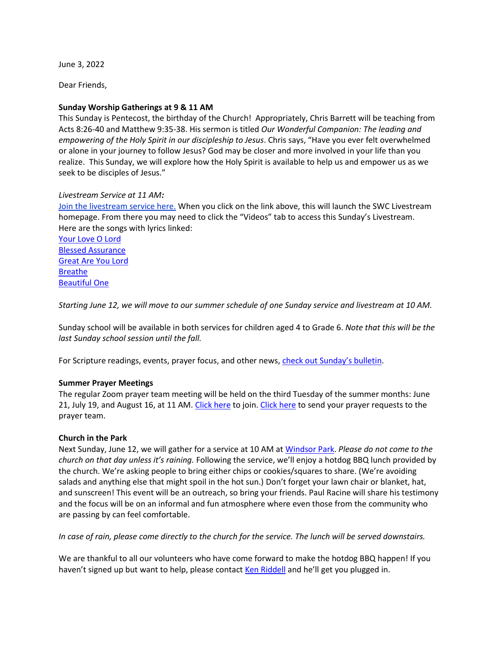June 3, 2022

Dear Friends,

# **Sunday Worship Gatherings at 9 & 11 AM**

This Sunday is Pentecost, the birthday of the Church! Appropriately, Chris Barrett will be teaching from Acts 8:26-40 and Matthew 9:35-38. His sermon is titled *Our Wonderful Companion: The leading and empowering of the Holy Spirit in our discipleship to Jesus*. Chris says, "Have you ever felt overwhelmed or alone in your journey to follow Jesus? God may be closer and more involved in your life than you realize. This Sunday, we will explore how the Holy Spirit is available to help us and empower us as we seek to be disciples of Jesus."

# *Livestream Service at 11 AM:*

[Join the livestream service here.](https://www.youtube.com/channel/UCYfl9Qy37Az7fqqFQpDEwjg) When you click on the link above, this will launch the SWC Livestream homepage. From there you may need to click the "Videos" tab to access this Sunday's Livestream. Here are the songs with lyrics linked:

[Your Love O Lord](https://wordtoworship.com/song/3836) [Blessed Assurance](https://hymnary.org/text/blessed_assurance_jesus_is_mine) [Great Are You Lord](https://www.azlyrics.com/lyrics/allsonsdaughters/greatareyoulord.html) [Breathe](https://zionlyrics.com/lyrics/michael-w-smith-breathe-lyrics) [Beautiful One](https://www.streetdirectory.com/lyricadvisor/song/ppaaow/beautiful_one/)

*Starting June 12, we will move to our summer schedule of one Sunday service and livestream at 10 AM.*

Sunday school will be available in both services for children aged 4 to Grade 6. *Note that this will be the last Sunday school session until the fall.*

For Scripture readings, events, prayer focus, and other news, [check out](http://www.sunnysidechurch.ca/wp/wp-content/uploads/20220605.pdf) Sunday's bulletin.

# **Summer Prayer Meetings**

The regular Zoom prayer team meeting will be held on the third Tuesday of the summer months: June 21, July 19, and August 16, at 11 AM[. Click here](mailto:prayer@sunnysidechurch.ca) to join. Click here to send your prayer requests to the prayer team.

# **Church in the Park**

Next Sunday, June 12, we will gather for a service at 10 AM at [Windsor Park.](https://wego.here.com/canada/ottawa/recreation/windsor-park--124f244j-b59ccb59d15241a0a326835125359ed5?x=ep&map=45.3934,-75.67767,15,normal) *Please do not come to the church on that day unless it's raining.* Following the service, we'll enjoy a hotdog BBQ lunch provided by the church. We're asking people to bring either chips or cookies/squares to share. (We're avoiding salads and anything else that might spoil in the hot sun.) Don't forget your lawn chair or blanket, hat, and sunscreen! This event will be an outreach, so bring your friends. Paul Racine will share his testimony and the focus will be on an informal and fun atmosphere where even those from the community who are passing by can feel comfortable.

*In case of rain, please come directly to the church for the service. The lunch will be served downstairs.*

We are thankful to all our volunteers who have come forward to make the hotdog BBQ happen! If you haven't signed up but want to help, please contact [Ken Riddell](mailto:ken_riddell@yahoo.ca) and he'll get you plugged in.